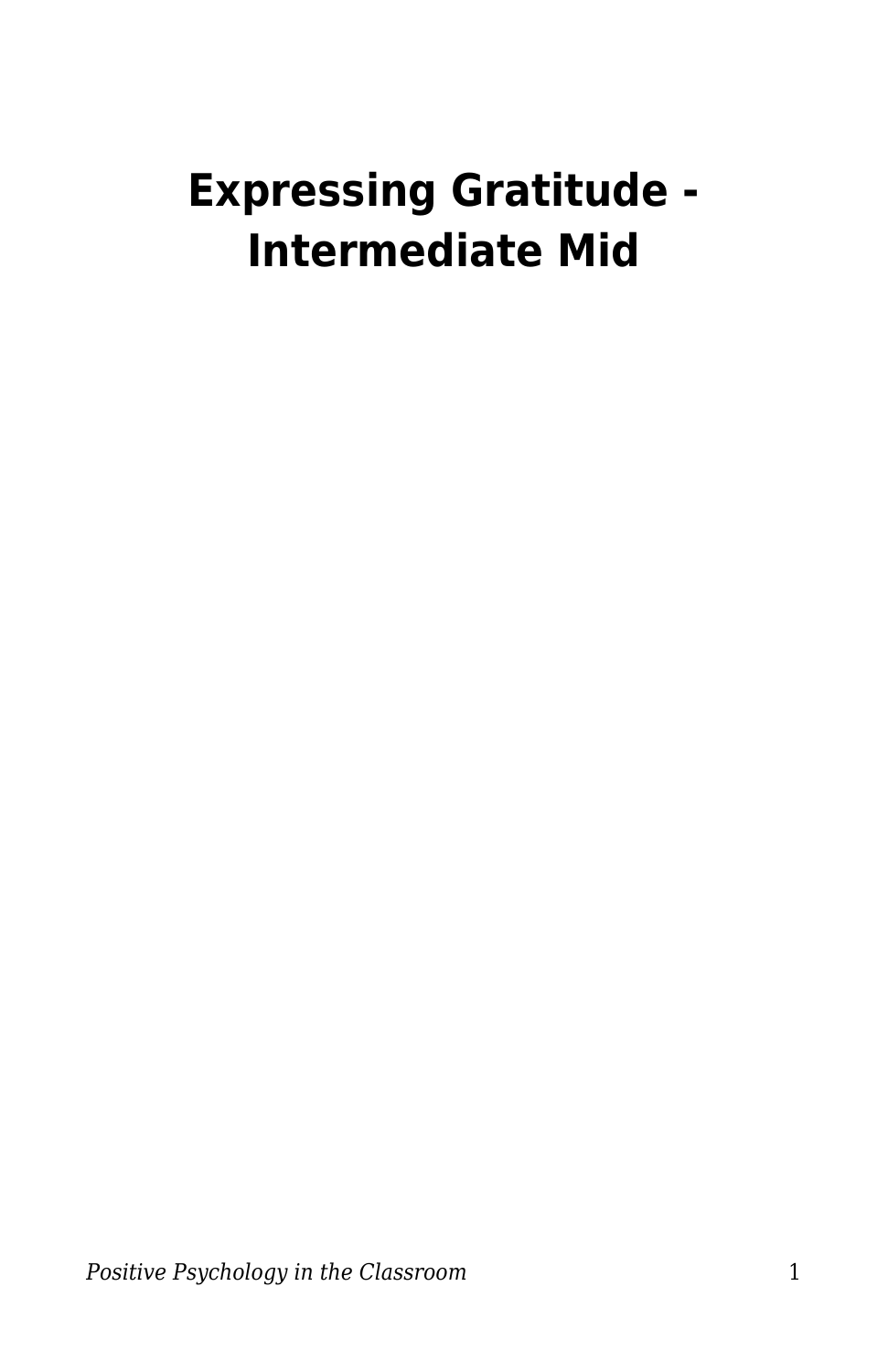# **Expressing Gratitude - Intermediate Mid**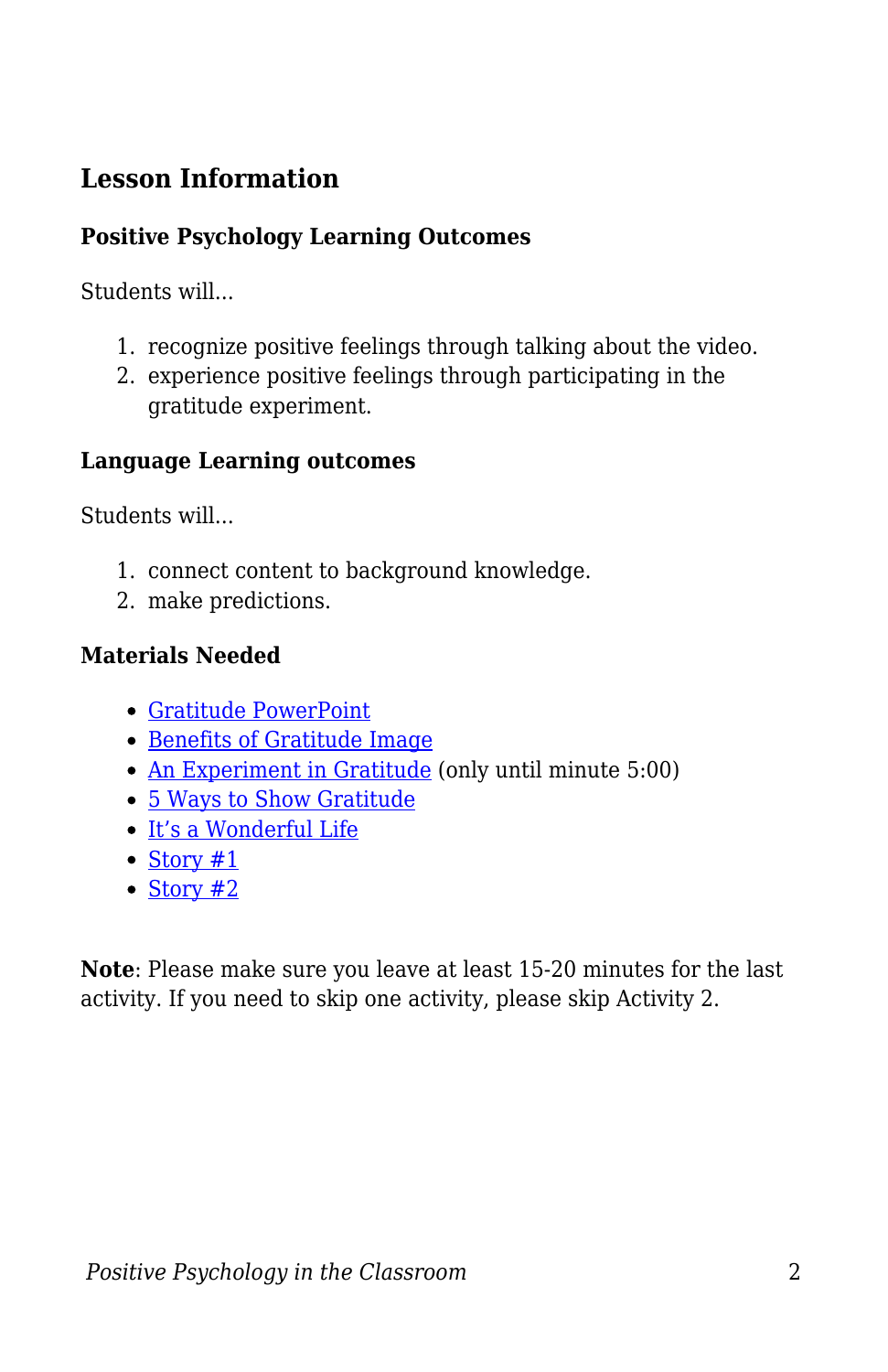# **Lesson Information**

#### **Positive Psychology Learning Outcomes**

Students will...

- 1. recognize positive feelings through talking about the video.
- 2. experience positive feelings through participating in the gratitude experiment.

#### **Language Learning outcomes**

Students will...

- 1. connect content to background knowledge.
- 2. make predictions.

#### **Materials Needed**

- [Gratitude PowerPoint](https://docs.google.com/presentation/d/10dnYezitHWfCTGoZKw2JW-k_pebJzfYe/edit?usp=sharing&ouid=116080163499867744179&rtpof=true&sd=true)
- [Benefits of Gratitude Image](https://positivepsychology.com/wp-content/uploads/The-Benefits-of-Gratitude.png)
- [An Experiment in Gratitude](https://www.youtube.com/watch?v=oHv6vTKD6lg) (only until minute 5:00)
- [5 Ways to Show Gratitude](https://www.youtube.com/watch?v=cheVMy01nRg)
- [It's a Wonderful Life](https://www.youtube.com/watch?v=lxNXtjGY_Us)
- [Story #1](https://gratefulness.org/resource/a-thank-you-to-librarians-who-make-everyone-feel-welcome/)
- $\cdot$  [Story #2](https://www.gratcircle.com/motivational-monday-personal-stories-of-gratitude/)

**Note**: Please make sure you leave at least 15-20 minutes for the last activity. If you need to skip one activity, please skip Activity 2.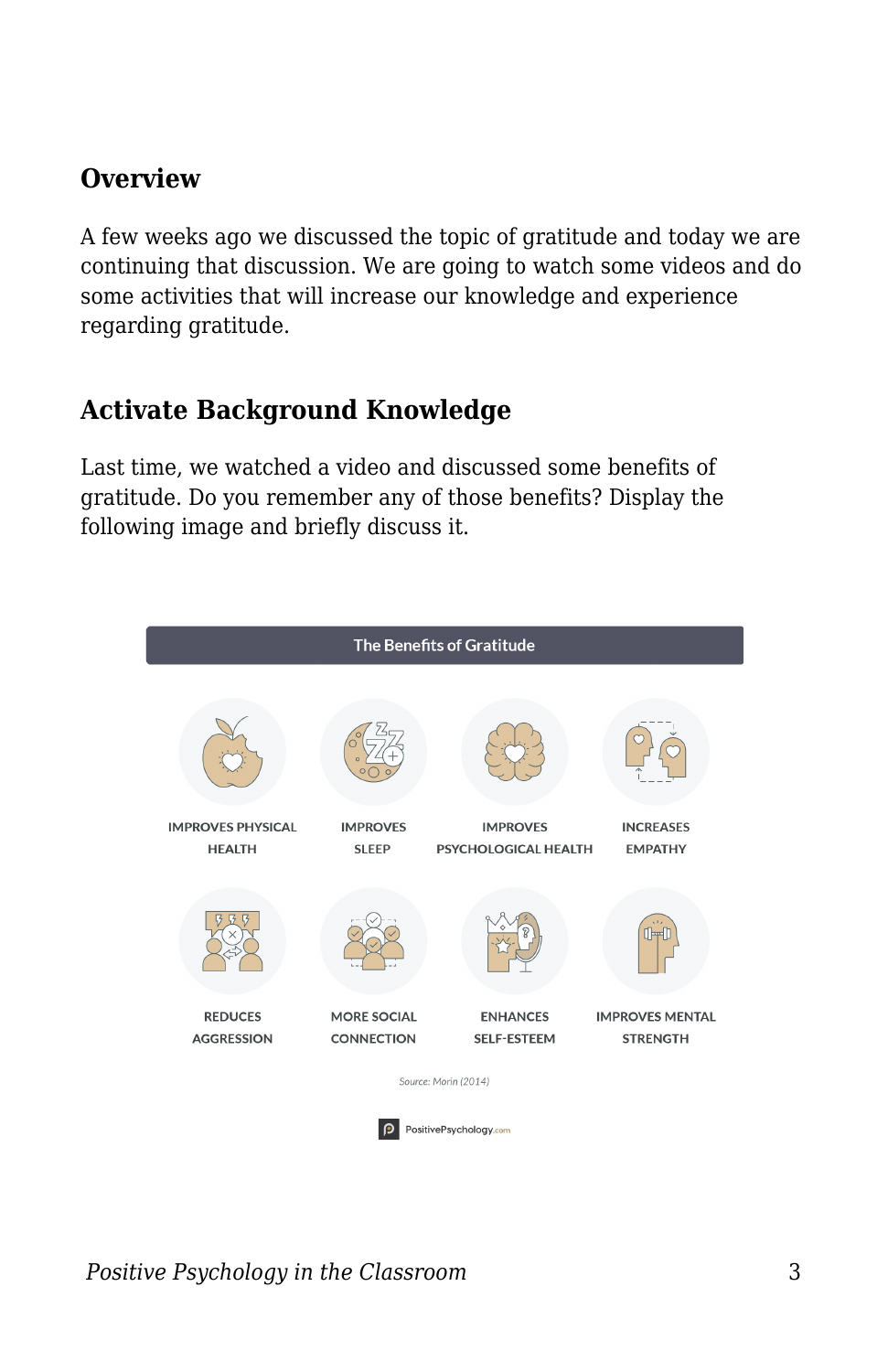# **Overview**

A few weeks ago we discussed the topic of gratitude and today we are continuing that discussion. We are going to watch some videos and do some activities that will increase our knowledge and experience regarding gratitude.

# **Activate Background Knowledge**

Last time, we watched a video and discussed some benefits of gratitude. Do you remember any of those benefits? Display the following image and briefly discuss it.

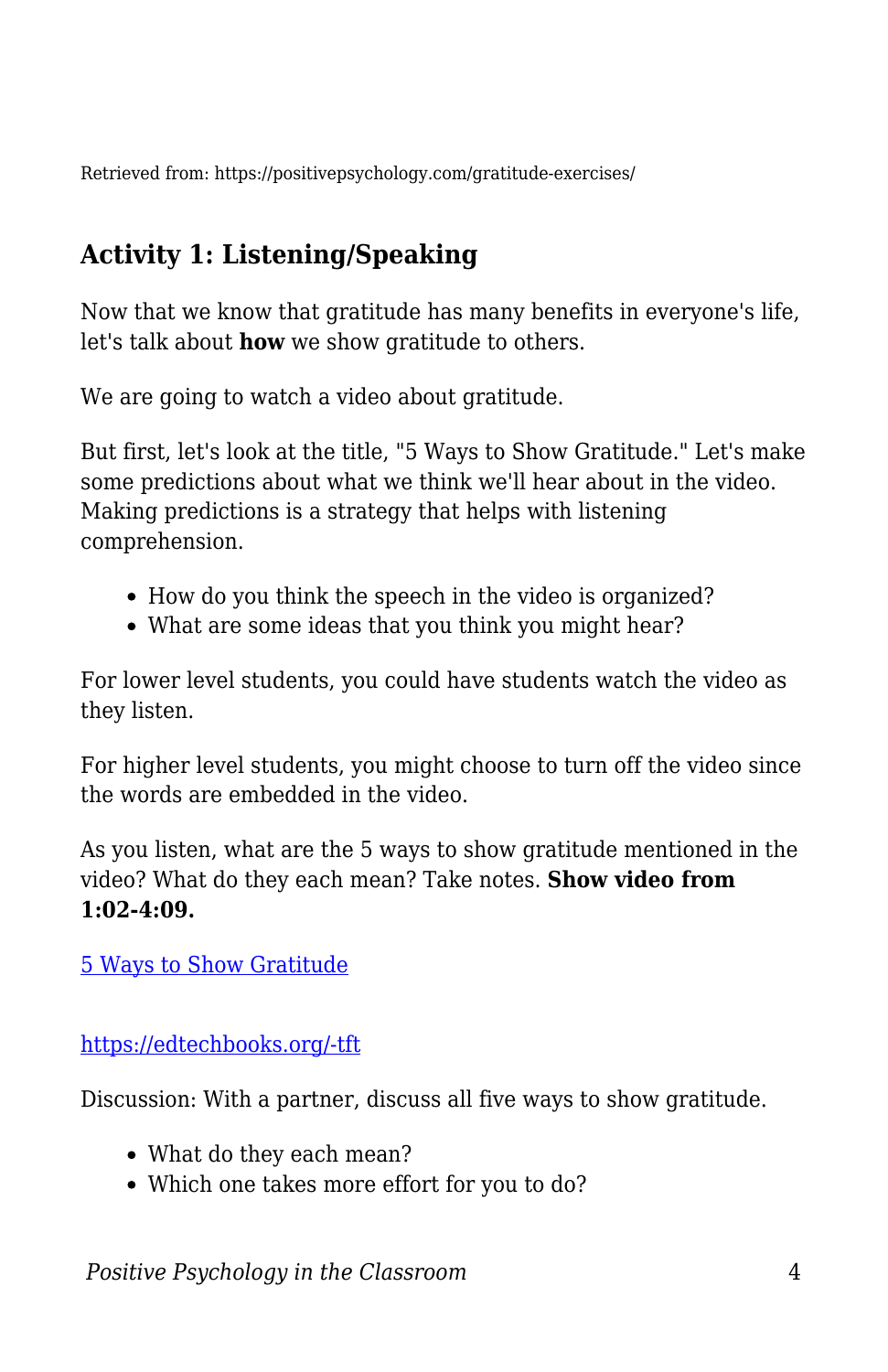Retrieved from: https://positivepsychology.com/gratitude-exercises/

# **Activity 1: Listening/Speaking**

Now that we know that gratitude has many benefits in everyone's life, let's talk about **how** we show gratitude to others.

We are going to watch a video about gratitude.

But first, let's look at the title, "5 Ways to Show Gratitude." Let's make some predictions about what we think we'll hear about in the video. Making predictions is a strategy that helps with listening comprehension.

- How do you think the speech in the video is organized?
- What are some ideas that you think you might hear?

For lower level students, you could have students watch the video as they listen.

For higher level students, you might choose to turn off the video since the words are embedded in the video.

As you listen, what are the 5 ways to show gratitude mentioned in the video? What do they each mean? Take notes. **Show video from 1:02-4:09.**

[5 Ways to Show Gratitude](https://www.youtube.com/watch?v=cheVMy01nRg)

[https://edtechbooks.org/-tft](https://www.youtube.com/watch?v=cheVMy01nRg)

Discussion: With a partner, discuss all five ways to show gratitude.

- What do they each mean?
- Which one takes more effort for you to do?

*Positive Psychology in the Classroom* 4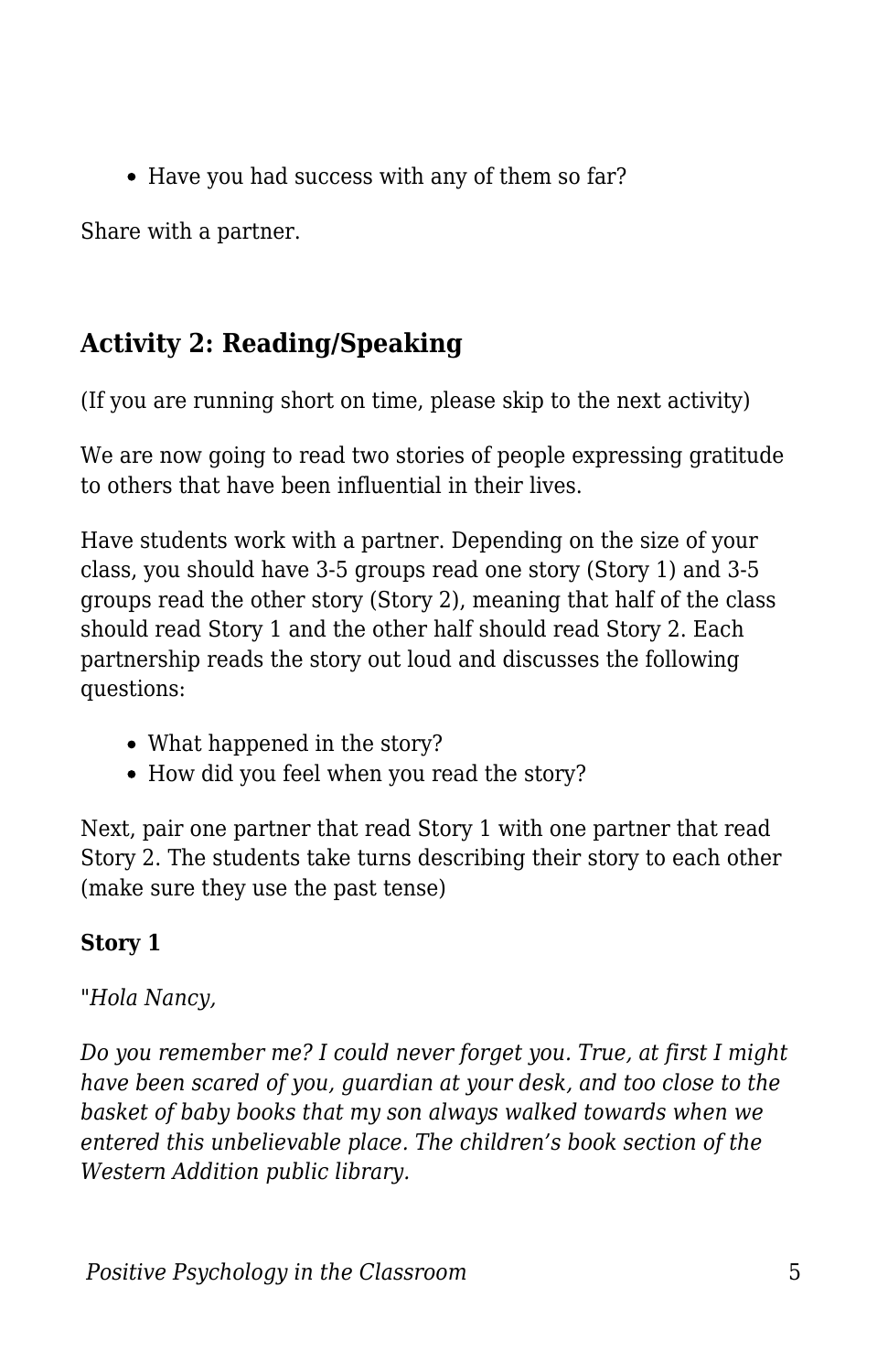• Have you had success with any of them so far?

Share with a partner.

# **Activity 2: Reading/Speaking**

(If you are running short on time, please skip to the next activity)

We are now going to read two stories of people expressing gratitude to others that have been influential in their lives.

Have students work with a partner. Depending on the size of your class, you should have 3-5 groups read one story (Story 1) and 3-5 groups read the other story (Story 2), meaning that half of the class should read Story 1 and the other half should read Story 2. Each partnership reads the story out loud and discusses the following questions:

- What happened in the story?
- How did you feel when you read the story?

Next, pair one partner that read Story 1 with one partner that read Story 2. The students take turns describing their story to each other (make sure they use the past tense)

# **Story 1**

# *"Hola Nancy,*

*Do you remember me? I could never forget you. True, at first I might have been scared of you, guardian at your desk, and too close to the basket of baby books that my son always walked towards when we entered this unbelievable place. The children's book section of the Western Addition public library.*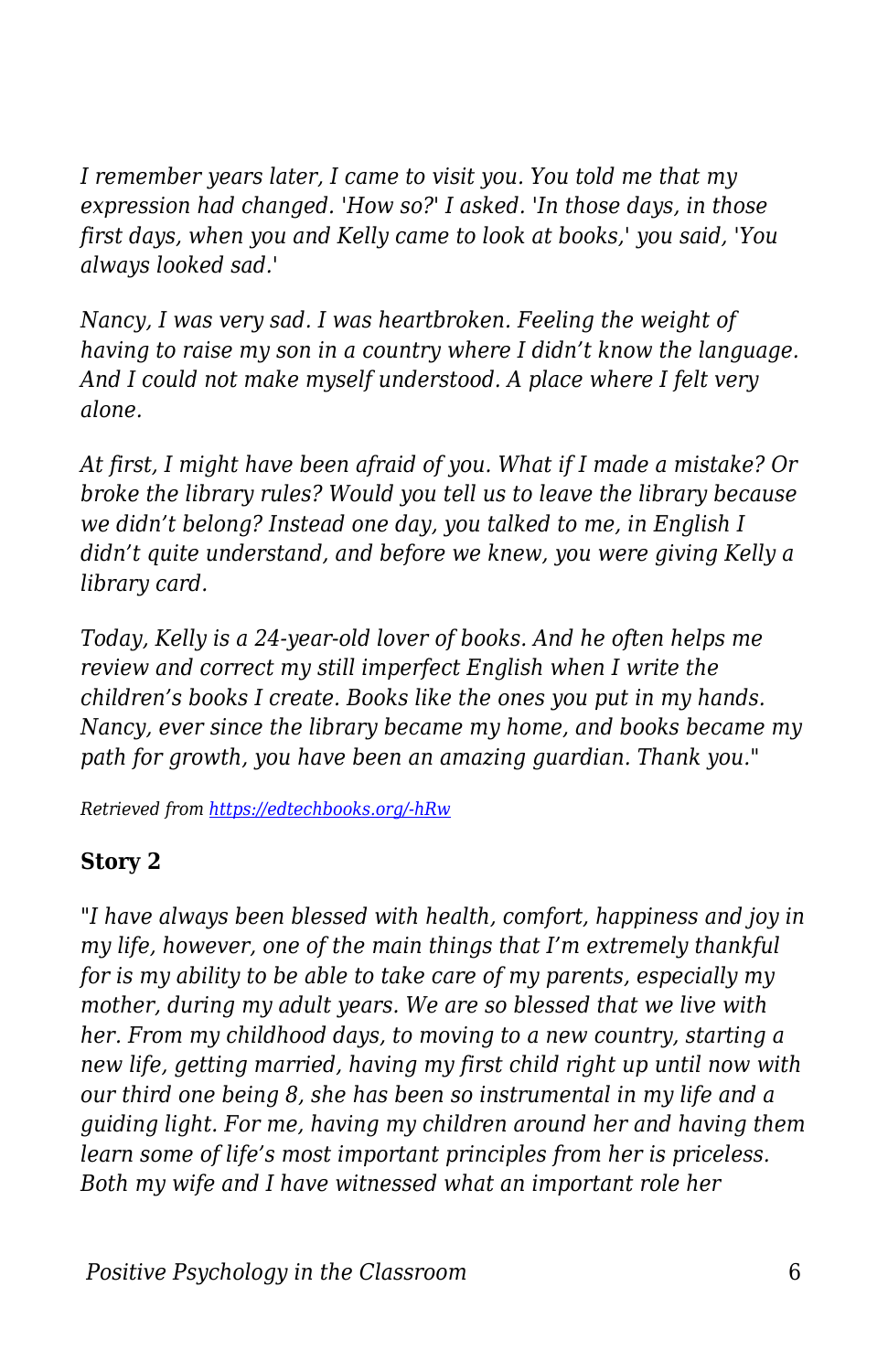*I remember years later, I came to visit you. You told me that my expression had changed. 'How so?' I asked. 'In those days, in those first days, when you and Kelly came to look at books,' you said, 'You always looked sad.'*

*Nancy, I was very sad. I was heartbroken. Feeling the weight of having to raise my son in a country where I didn't know the language. And I could not make myself understood. A place where I felt very alone.*

*At first, I might have been afraid of you. What if I made a mistake? Or broke the library rules? Would you tell us to leave the library because we didn't belong? Instead one day, you talked to me, in English I didn't quite understand, and before we knew, you were giving Kelly a library card.*

*Today, Kelly is a 24-year-old lover of books. And he often helps me review and correct my still imperfect English when I write the children's books I create. Books like the ones you put in my hands. Nancy, ever since the library became my home, and books became my path for growth, you have been an amazing guardian. Thank you."*

*Retrieved from [https://edtechbooks.org/-hRw](https://gratefulness.org/resource/a-thank-you-to-librarians-who-make-everyone-feel-welcome/)*

## **Story 2**

*"I have always been blessed with health, comfort, happiness and joy in my life, however, one of the main things that I'm extremely thankful for is my ability to be able to take care of my parents, especially my mother, during my adult years. We are so blessed that we live with her. From my childhood days, to moving to a new country, starting a new life, getting married, having my first child right up until now with our third one being 8, she has been so instrumental in my life and a guiding light. For me, having my children around her and having them learn some of life's most important principles from her is priceless. Both my wife and I have witnessed what an important role her*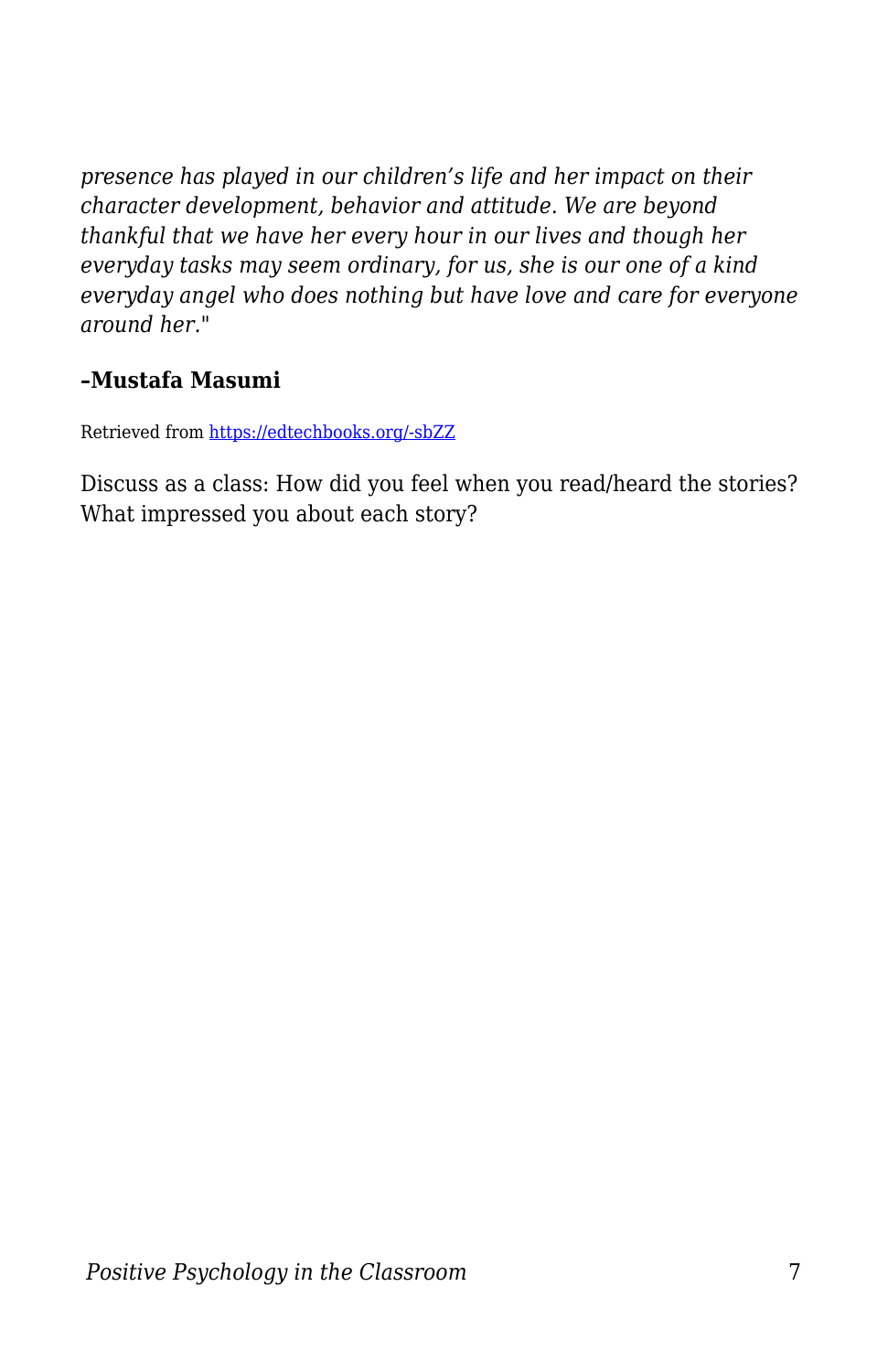*presence has played in our children's life and her impact on their character development, behavior and attitude. We are beyond thankful that we have her every hour in our lives and though her everyday tasks may seem ordinary, for us, she is our one of a kind everyday angel who does nothing but have love and care for everyone around her."*

#### **–Mustafa Masumi**

Retrieved from [https://edtechbooks.org/-sbZZ](https://www.gratcircle.com/motivational-monday-personal-stories-of-gratitude/)

Discuss as a class: How did you feel when you read/heard the stories? What impressed you about each story?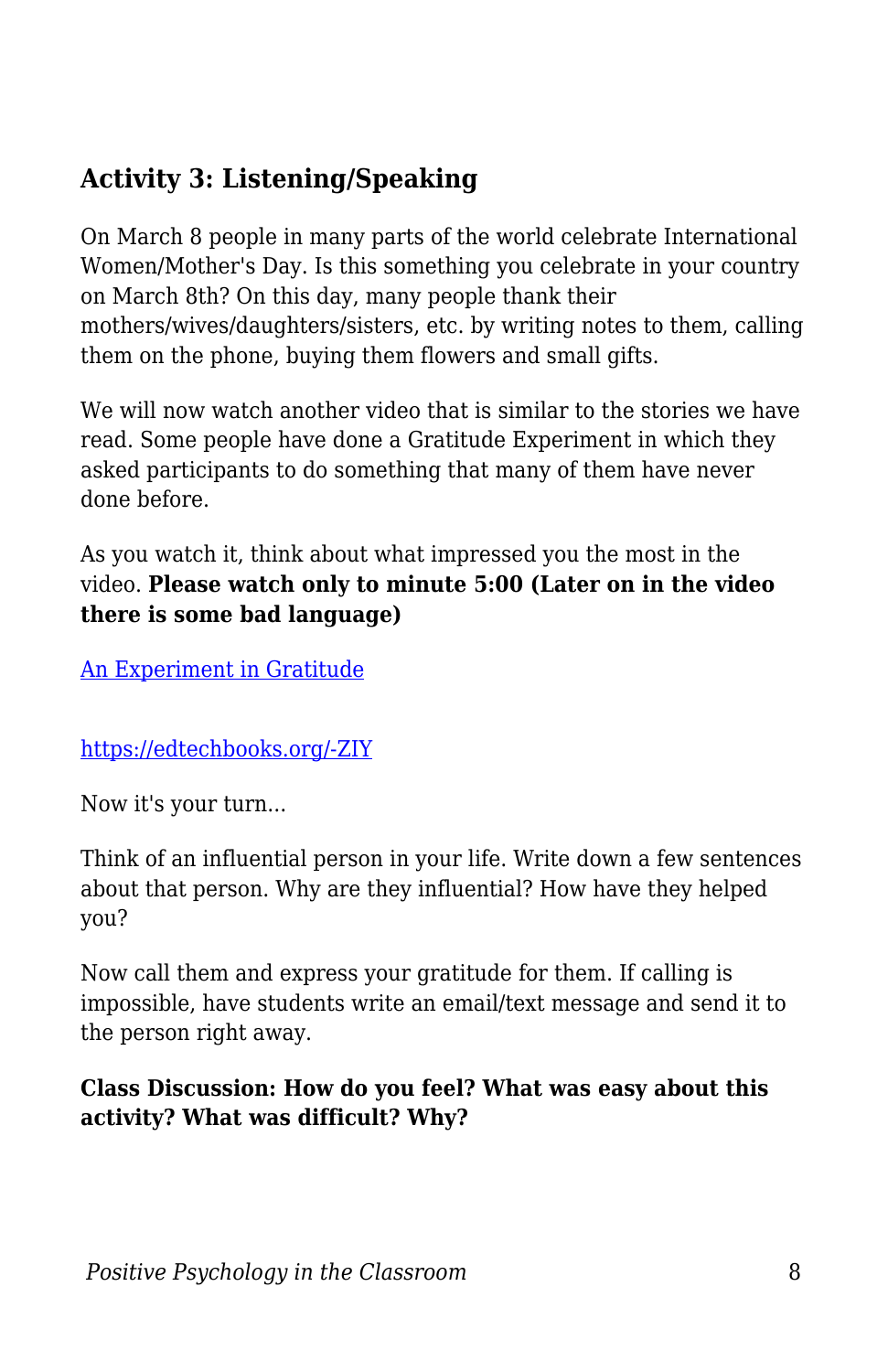# **Activity 3: Listening/Speaking**

On March 8 people in many parts of the world celebrate International Women/Mother's Day. Is this something you celebrate in your country on March 8th? On this day, many people thank their mothers/wives/daughters/sisters, etc. by writing notes to them, calling them on the phone, buying them flowers and small gifts.

We will now watch another video that is similar to the stories we have read. Some people have done a Gratitude Experiment in which they asked participants to do something that many of them have never done before.

As you watch it, think about what impressed you the most in the video. **Please watch only to minute 5:00 (Later on in the video there is some bad language)**

[An Experiment in Gratitude](https://www.youtube.com/watch?v=oHv6vTKD6lg)

## [https://edtechbooks.org/-ZIY](https://www.youtube.com/watch?v=oHv6vTKD6lg)

Now it's your turn...

Think of an influential person in your life. Write down a few sentences about that person. Why are they influential? How have they helped you?

Now call them and express your gratitude for them. If calling is impossible, have students write an email/text message and send it to the person right away.

## **Class Discussion: How do you feel? What was easy about this activity? What was difficult? Why?**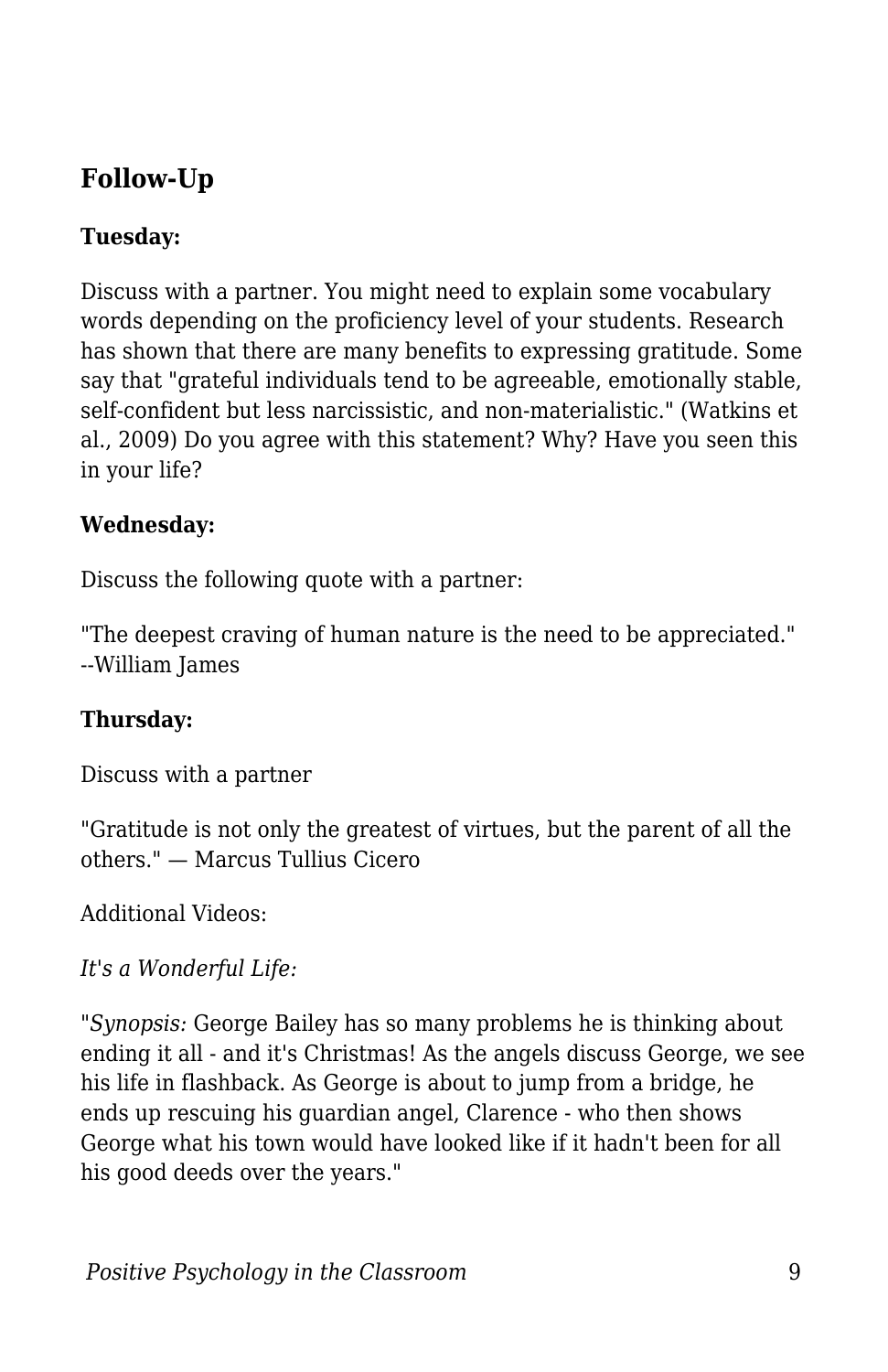# **Follow-Up**

## **Tuesday:**

Discuss with a partner. You might need to explain some vocabulary words depending on the proficiency level of your students. Research has shown that there are many benefits to expressing gratitude. Some say that "grateful individuals tend to be agreeable, emotionally stable, self-confident but less narcissistic, and non-materialistic." (Watkins et al., 2009) Do you agree with this statement? Why? Have you seen this in your life?

#### **Wednesday:**

Discuss the following quote with a partner:

"The deepest craving of human nature is the need to be appreciated." --William James

#### **Thursday:**

Discuss with a partner

"Gratitude is not only the greatest of virtues, but the parent of all the others." — Marcus Tullius Cicero

Additional Videos:

*It's a Wonderful Life:*

*"Synopsis:* George Bailey has so many problems he is thinking about ending it all - and it's Christmas! As the angels discuss George, we see his life in flashback. As George is about to jump from a bridge, he ends up rescuing his guardian angel, Clarence - who then shows George what his town would have looked like if it hadn't been for all his good deeds over the years."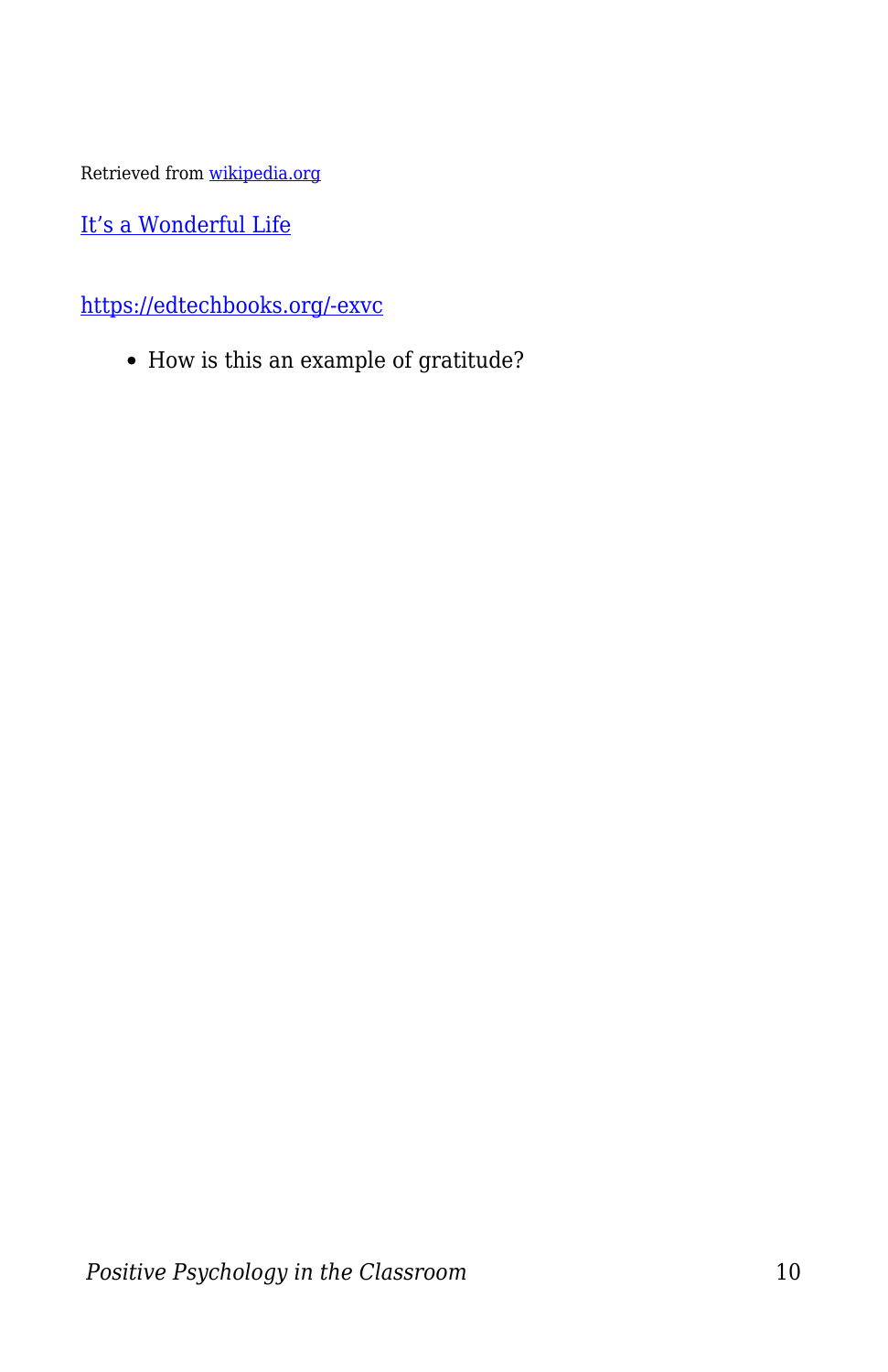Retrieved from [wikipedia.org](https://edtechbooks.org/PositivePsychologyintheClassroom/wikipedia.org)

[It's a Wonderful Life](https://www.youtube.com/watch?v=lxNXtjGY_Us)

[https://edtechbooks.org/-exvc](https://www.youtube.com/watch?v=lxNXtjGY_Us)

How is this an example of gratitude?